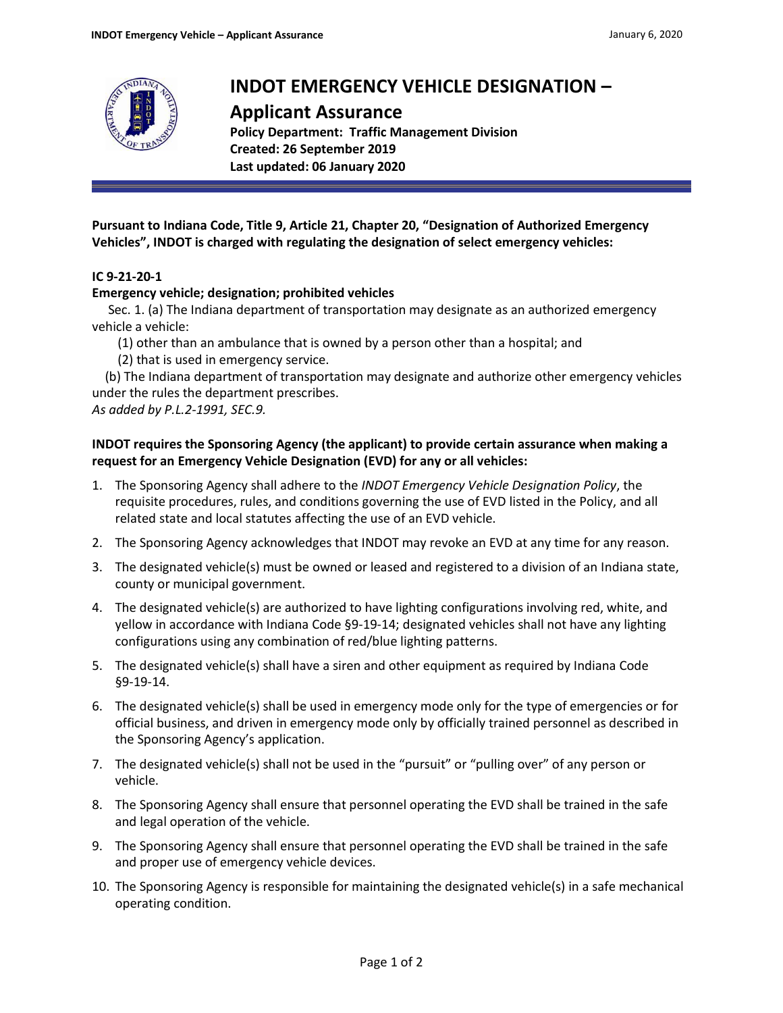

# **INDOT EMERGENCY VEHICLE DESIGNATION –**

# **Applicant Assurance**

**Policy Department: Traffic Management Division Created: 26 September 2019 Last updated: 06 January 2020**

**Pursuant to Indiana Code, Title 9, Article 21, Chapter 20, "Designation of Authorized Emergency Vehicles", INDOT is charged with regulating the designation of select emergency vehicles:**

## **IC 9-21-20-1**

#### **Emergency vehicle; designation; prohibited vehicles**

Sec. 1. (a) The Indiana department of transportation may designate as an authorized emergency vehicle a vehicle:

- (1) other than an ambulance that is owned by a person other than a hospital; and
- (2) that is used in emergency service.

 (b) The Indiana department of transportation may designate and authorize other emergency vehicles under the rules the department prescribes.

*As added by P.L.2-1991, SEC.9.*

### **INDOT requires the Sponsoring Agency (the applicant) to provide certain assurance when making a request for an Emergency Vehicle Designation (EVD) for any or all vehicles:**

- 1. The Sponsoring Agency shall adhere to the *INDOT Emergency Vehicle Designation Policy*, the requisite procedures, rules, and conditions governing the use of EVD listed in the Policy, and all related state and local statutes affecting the use of an EVD vehicle.
- 2. The Sponsoring Agency acknowledges that INDOT may revoke an EVD at any time for any reason.
- 3. The designated vehicle(s) must be owned or leased and registered to a division of an Indiana state, county or municipal government.
- 4. The designated vehicle(s) are authorized to have lighting configurations involving red, white, and yellow in accordance with Indiana Code §9-19-14; designated vehicles shall not have any lighting configurations using any combination of red/blue lighting patterns.
- 5. The designated vehicle(s) shall have a siren and other equipment as required by Indiana Code §9-19-14.
- 6. The designated vehicle(s) shall be used in emergency mode only for the type of emergencies or for official business, and driven in emergency mode only by officially trained personnel as described in the Sponsoring Agency's application.
- 7. The designated vehicle(s) shall not be used in the "pursuit" or "pulling over" of any person or vehicle.
- 8. The Sponsoring Agency shall ensure that personnel operating the EVD shall be trained in the safe and legal operation of the vehicle.
- 9. The Sponsoring Agency shall ensure that personnel operating the EVD shall be trained in the safe and proper use of emergency vehicle devices.
- 10. The Sponsoring Agency is responsible for maintaining the designated vehicle(s) in a safe mechanical operating condition.